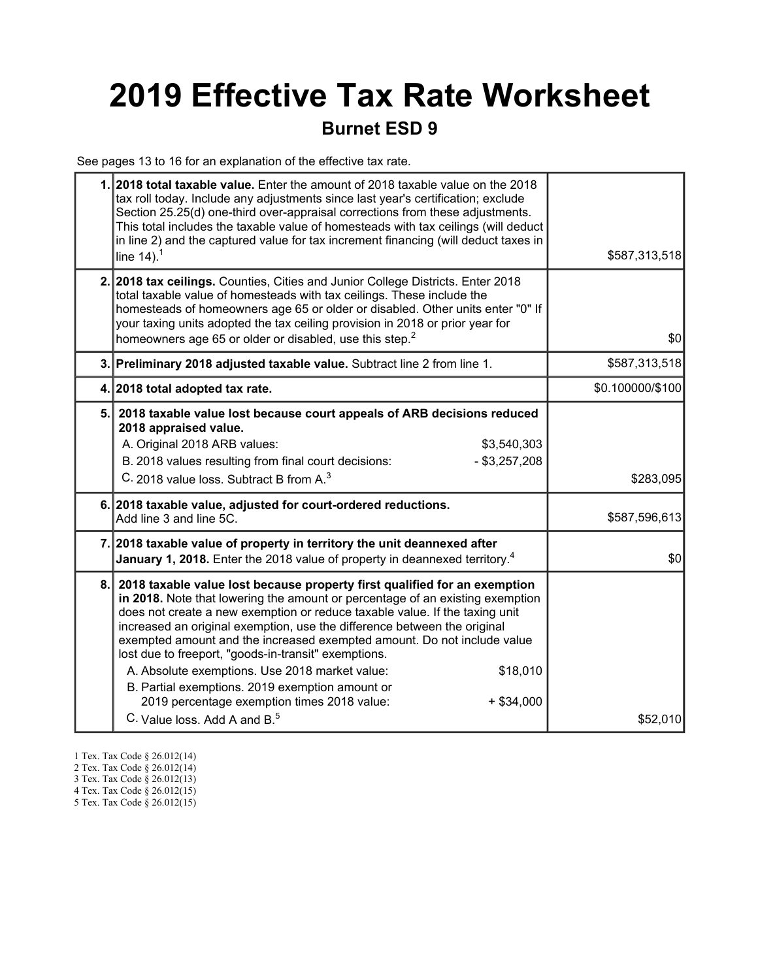# 2019 Effective Tax Rate Worksheet

### Burnet ESD 9

See pages 13 to 16 for an explanation of the effective tax rate.

|     | 1. 2018 total taxable value. Enter the amount of 2018 taxable value on the 2018<br>tax roll today. Include any adjustments since last year's certification; exclude<br>Section 25.25(d) one-third over-appraisal corrections from these adjustments.<br>This total includes the taxable value of homesteads with tax ceilings (will deduct<br>in line 2) and the captured value for tax increment financing (will deduct taxes in<br>line $14$ ). <sup>1</sup>                                                                                                                                                                                                                       | \$587,313,518    |
|-----|--------------------------------------------------------------------------------------------------------------------------------------------------------------------------------------------------------------------------------------------------------------------------------------------------------------------------------------------------------------------------------------------------------------------------------------------------------------------------------------------------------------------------------------------------------------------------------------------------------------------------------------------------------------------------------------|------------------|
|     | 2. 2018 tax ceilings. Counties, Cities and Junior College Districts. Enter 2018<br>total taxable value of homesteads with tax ceilings. These include the<br>homesteads of homeowners age 65 or older or disabled. Other units enter "0" If<br>your taxing units adopted the tax ceiling provision in 2018 or prior year for<br>homeowners age 65 or older or disabled, use this step. <sup>2</sup>                                                                                                                                                                                                                                                                                  | \$0              |
|     | 3. Preliminary 2018 adjusted taxable value. Subtract line 2 from line 1.                                                                                                                                                                                                                                                                                                                                                                                                                                                                                                                                                                                                             | \$587,313,518    |
|     | 4. 2018 total adopted tax rate.                                                                                                                                                                                                                                                                                                                                                                                                                                                                                                                                                                                                                                                      | \$0.100000/\$100 |
| 5.1 | 2018 taxable value lost because court appeals of ARB decisions reduced<br>2018 appraised value.<br>A. Original 2018 ARB values:<br>\$3,540,303<br>B. 2018 values resulting from final court decisions:<br>$-$ \$3,257,208<br>C. 2018 value loss. Subtract B from A. <sup>3</sup>                                                                                                                                                                                                                                                                                                                                                                                                     | \$283,095        |
|     | 6. 2018 taxable value, adjusted for court-ordered reductions.<br>Add line 3 and line 5C.                                                                                                                                                                                                                                                                                                                                                                                                                                                                                                                                                                                             | \$587,596,613    |
|     | 7. 2018 taxable value of property in territory the unit deannexed after<br>January 1, 2018. Enter the 2018 value of property in deannexed territory. <sup>4</sup>                                                                                                                                                                                                                                                                                                                                                                                                                                                                                                                    | \$0              |
| 8.  | 2018 taxable value lost because property first qualified for an exemption<br>in 2018. Note that lowering the amount or percentage of an existing exemption<br>does not create a new exemption or reduce taxable value. If the taxing unit<br>increased an original exemption, use the difference between the original<br>exempted amount and the increased exempted amount. Do not include value<br>lost due to freeport, "goods-in-transit" exemptions.<br>A. Absolute exemptions. Use 2018 market value:<br>\$18,010<br>B. Partial exemptions. 2019 exemption amount or<br>2019 percentage exemption times 2018 value:<br>$+$ \$34,000<br>C. Value loss, Add A and B. <sup>5</sup> | \$52,010         |

- 1 Tex. Tax Code § 26.012(14)
- 2 Tex. Tax Code § 26.012(14)
- 3 Tex. Tax Code § 26.012(13)
- 4 Tex. Tax Code § 26.012(15)
- 5 Tex. Tax Code § 26.012(15)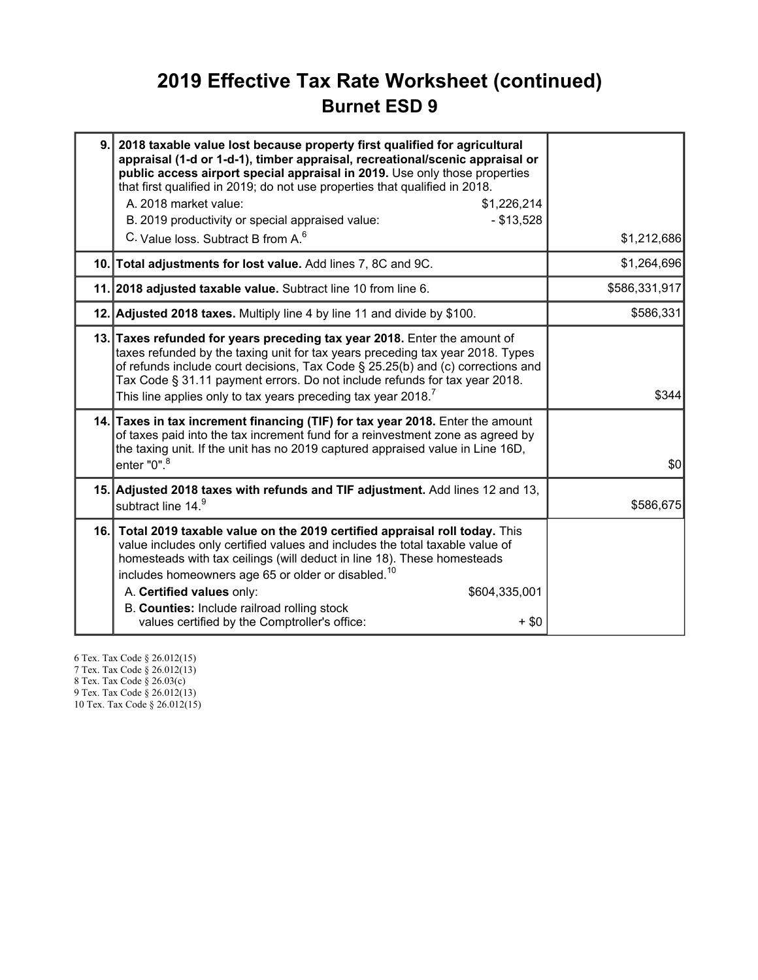### 2019 Effective Tax Rate Worksheet (continued) Burnet ESD 9

| 9. 2018 taxable value lost because property first qualified for agricultural<br>appraisal (1-d or 1-d-1), timber appraisal, recreational/scenic appraisal or<br>public access airport special appraisal in 2019. Use only those properties<br>that first qualified in 2019; do not use properties that qualified in 2018.<br>A. 2018 market value:<br>\$1,226,214<br>B. 2019 productivity or special appraised value:<br>$-$ \$13,528<br>C. Value loss. Subtract B from A. <sup>6</sup> | \$1,212,686   |
|-----------------------------------------------------------------------------------------------------------------------------------------------------------------------------------------------------------------------------------------------------------------------------------------------------------------------------------------------------------------------------------------------------------------------------------------------------------------------------------------|---------------|
| 10. Total adjustments for lost value. Add lines 7, 8C and 9C.                                                                                                                                                                                                                                                                                                                                                                                                                           | \$1,264,696   |
| 11. 2018 adjusted taxable value. Subtract line 10 from line 6.                                                                                                                                                                                                                                                                                                                                                                                                                          | \$586,331,917 |
| 12. Adjusted 2018 taxes. Multiply line 4 by line 11 and divide by \$100.                                                                                                                                                                                                                                                                                                                                                                                                                | \$586,331     |
| 13. Taxes refunded for years preceding tax year 2018. Enter the amount of<br>taxes refunded by the taxing unit for tax years preceding tax year 2018. Types<br>of refunds include court decisions, Tax Code § 25.25(b) and (c) corrections and<br>Tax Code § 31.11 payment errors. Do not include refunds for tax year 2018.<br>This line applies only to tax years preceding tax year 2018. <sup>7</sup>                                                                               | \$344         |
| 14. Taxes in tax increment financing (TIF) for tax year 2018. Enter the amount<br>of taxes paid into the tax increment fund for a reinvestment zone as agreed by<br>the taxing unit. If the unit has no 2019 captured appraised value in Line 16D,<br>enter "0". <sup>8</sup>                                                                                                                                                                                                           | \$0           |
| 15. Adjusted 2018 taxes with refunds and TIF adjustment. Add lines 12 and 13,<br>subtract line 14.9                                                                                                                                                                                                                                                                                                                                                                                     | \$586,675     |
| 16. Total 2019 taxable value on the 2019 certified appraisal roll today. This<br>value includes only certified values and includes the total taxable value of<br>homesteads with tax ceilings (will deduct in line 18). These homesteads<br>includes homeowners age 65 or older or disabled. <sup>10</sup><br>A. Certified values only:<br>\$604,335,001<br>B. Counties: Include railroad rolling stock<br>values certified by the Comptroller's office:<br>$+$ \$0                     |               |

6 Tex. Tax Code § 26.012(15) 7 Tex. Tax Code § 26.012(13) 8 Tex. Tax Code § 26.03(c)

9 Tex. Tax Code § 26.012(13)

10 Tex. Tax Code § 26.012(15)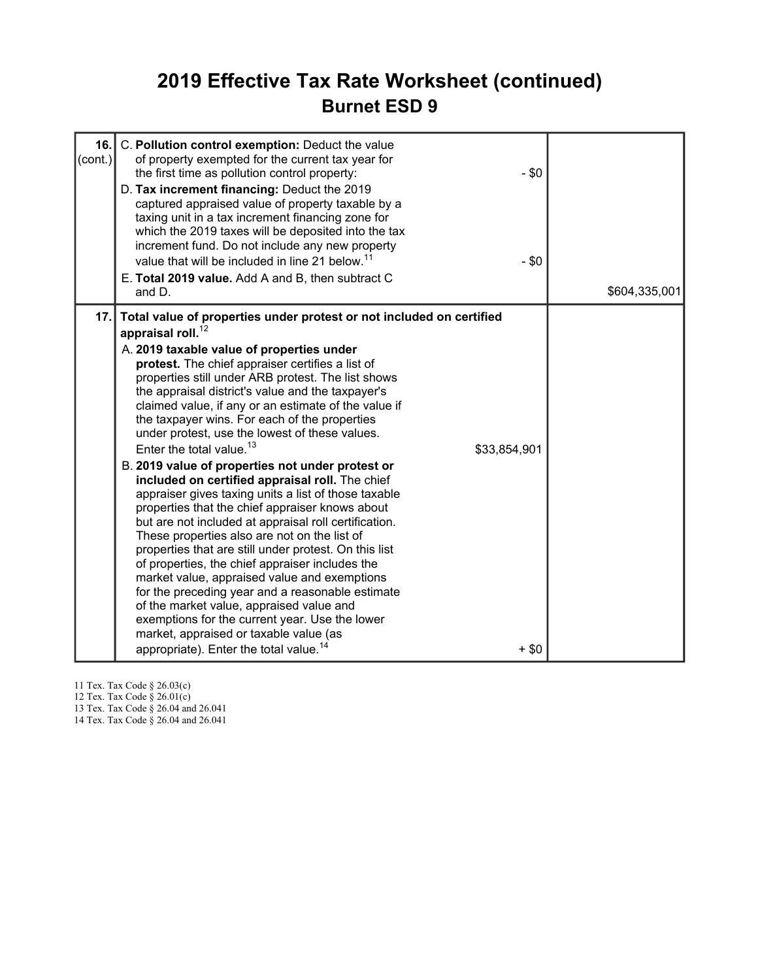### 2019 Effective Tax Rate Worksheet (continued) Burnet ESD 9

| 16.<br>(cont.) | C. Pollution control exemption: Deduct the value<br>of property exempted for the current tax year for<br>the first time as pollution control property:<br>D. Tax increment financing: Deduct the 2019<br>captured appraised value of property taxable by a<br>taxing unit in a tax increment financing zone for<br>which the 2019 taxes will be deposited into the tax<br>increment fund. Do not include any new property<br>value that will be included in line 21 below. <sup>11</sup><br>E. Total 2019 value. Add A and B, then subtract C<br>and D.                                                                                                                                                                                                                                                                                                                                                                                                                                                                                                                                                                                                                                                                                                              | $-$ \$0<br>$-$ \$0 | \$604,335,001 |
|----------------|----------------------------------------------------------------------------------------------------------------------------------------------------------------------------------------------------------------------------------------------------------------------------------------------------------------------------------------------------------------------------------------------------------------------------------------------------------------------------------------------------------------------------------------------------------------------------------------------------------------------------------------------------------------------------------------------------------------------------------------------------------------------------------------------------------------------------------------------------------------------------------------------------------------------------------------------------------------------------------------------------------------------------------------------------------------------------------------------------------------------------------------------------------------------------------------------------------------------------------------------------------------------|--------------------|---------------|
| 17.            | Total value of properties under protest or not included on certified<br>appraisal roll. $12$<br>A. 2019 taxable value of properties under<br>protest. The chief appraiser certifies a list of<br>properties still under ARB protest. The list shows<br>the appraisal district's value and the taxpayer's<br>claimed value, if any or an estimate of the value if<br>the taxpayer wins. For each of the properties<br>under protest, use the lowest of these values.<br>Enter the total value. <sup>13</sup><br>\$33,854,901<br>B. 2019 value of properties not under protest or<br>included on certified appraisal roll. The chief<br>appraiser gives taxing units a list of those taxable<br>properties that the chief appraiser knows about<br>but are not included at appraisal roll certification.<br>These properties also are not on the list of<br>properties that are still under protest. On this list<br>of properties, the chief appraiser includes the<br>market value, appraised value and exemptions<br>for the preceding year and a reasonable estimate<br>of the market value, appraised value and<br>exemptions for the current year. Use the lower<br>market, appraised or taxable value (as<br>appropriate). Enter the total value. <sup>14</sup> | $+$ \$0            |               |

11 Tex. Tax Code § 26.03(c)

12 Tex. Tax Code § 26.01(c)

13 Tex. Tax Code § 26.04 and 26.041

14 Tex. Tax Code § 26.04 and 26.041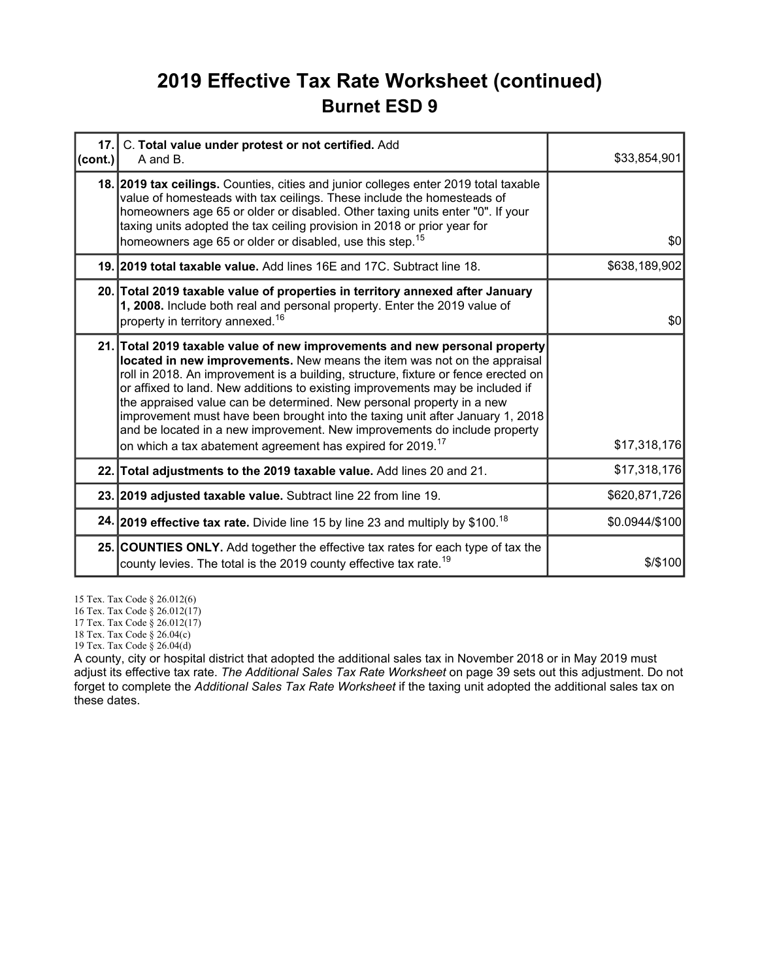### 2019 Effective Tax Rate Worksheet (continued) Burnet ESD 9

| cont. | 17. C. Total value under protest or not certified. Add<br>A and B.                                                                                                                                                                                                                                                                                                                                                                                                                                                                                                                                                                             | \$33,854,901   |
|-------|------------------------------------------------------------------------------------------------------------------------------------------------------------------------------------------------------------------------------------------------------------------------------------------------------------------------------------------------------------------------------------------------------------------------------------------------------------------------------------------------------------------------------------------------------------------------------------------------------------------------------------------------|----------------|
|       | 18. 2019 tax ceilings. Counties, cities and junior colleges enter 2019 total taxable<br>value of homesteads with tax ceilings. These include the homesteads of<br>homeowners age 65 or older or disabled. Other taxing units enter "0". If your<br>taxing units adopted the tax ceiling provision in 2018 or prior year for<br>homeowners age 65 or older or disabled, use this step. <sup>15</sup>                                                                                                                                                                                                                                            | \$0            |
|       | 19. 2019 total taxable value. Add lines 16E and 17C. Subtract line 18.                                                                                                                                                                                                                                                                                                                                                                                                                                                                                                                                                                         | \$638,189,902  |
|       | 20. Total 2019 taxable value of properties in territory annexed after January<br>1, 2008. Include both real and personal property. Enter the 2019 value of<br>property in territory annexed. <sup>16</sup>                                                                                                                                                                                                                                                                                                                                                                                                                                     | \$0            |
|       | 21. Total 2019 taxable value of new improvements and new personal property<br>located in new improvements. New means the item was not on the appraisal<br>roll in 2018. An improvement is a building, structure, fixture or fence erected on<br>or affixed to land. New additions to existing improvements may be included if<br>the appraised value can be determined. New personal property in a new<br>improvement must have been brought into the taxing unit after January 1, 2018<br>and be located in a new improvement. New improvements do include property<br>on which a tax abatement agreement has expired for 2019. <sup>17</sup> | \$17,318,176   |
|       | 22. Total adjustments to the 2019 taxable value. Add lines 20 and 21.                                                                                                                                                                                                                                                                                                                                                                                                                                                                                                                                                                          | \$17,318,176   |
|       | 23. 2019 adjusted taxable value. Subtract line 22 from line 19.                                                                                                                                                                                                                                                                                                                                                                                                                                                                                                                                                                                | \$620,871,726  |
|       | 24. 2019 effective tax rate. Divide line 15 by line 23 and multiply by \$100. <sup>18</sup>                                                                                                                                                                                                                                                                                                                                                                                                                                                                                                                                                    | \$0.0944/\$100 |
|       | 25. COUNTIES ONLY. Add together the effective tax rates for each type of tax the<br>county levies. The total is the 2019 county effective tax rate. <sup>19</sup>                                                                                                                                                                                                                                                                                                                                                                                                                                                                              | $$$ /\$100     |

15 Tex. Tax Code § 26.012(6)

16 Tex. Tax Code § 26.012(17)

17 Tex. Tax Code § 26.012(17)

18 Tex. Tax Code § 26.04(c)

19 Tex. Tax Code § 26.04(d)

A county, city or hospital district that adopted the additional sales tax in November 2018 or in May 2019 must adjust its effective tax rate. The Additional Sales Tax Rate Worksheet on page 39 sets out this adjustment. Do not forget to complete the Additional Sales Tax Rate Worksheet if the taxing unit adopted the additional sales tax on these dates.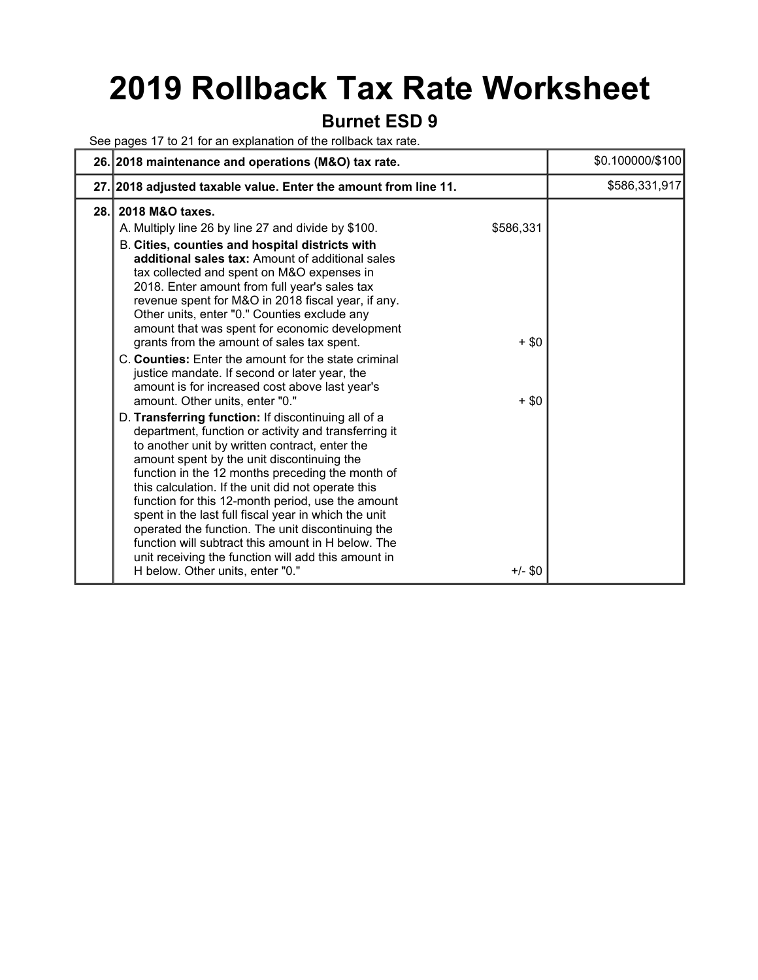## 2019 Rollback Tax Rate Worksheet

#### Burnet ESD 9

See pages 17 to 21 for an explanation of the rollback tax rate.

|     | 26. 2018 maintenance and operations (M&O) tax rate.                                                                                                                                                                                                                                                                                                                                                                                                                                                                                                                                                                                                                                                                                                                                             |                                 | \$0.100000/\$100 |
|-----|-------------------------------------------------------------------------------------------------------------------------------------------------------------------------------------------------------------------------------------------------------------------------------------------------------------------------------------------------------------------------------------------------------------------------------------------------------------------------------------------------------------------------------------------------------------------------------------------------------------------------------------------------------------------------------------------------------------------------------------------------------------------------------------------------|---------------------------------|------------------|
|     | 27. 2018 adjusted taxable value. Enter the amount from line 11.                                                                                                                                                                                                                                                                                                                                                                                                                                                                                                                                                                                                                                                                                                                                 |                                 | \$586,331,917    |
| 28. | 2018 M&O taxes.<br>A. Multiply line 26 by line 27 and divide by \$100.<br>B. Cities, counties and hospital districts with<br>additional sales tax: Amount of additional sales<br>tax collected and spent on M&O expenses in<br>2018. Enter amount from full year's sales tax<br>revenue spent for M&O in 2018 fiscal year, if any.<br>Other units, enter "0." Counties exclude any<br>amount that was spent for economic development<br>grants from the amount of sales tax spent.<br>C. Counties: Enter the amount for the state criminal<br>justice mandate. If second or later year, the<br>amount is for increased cost above last year's<br>amount. Other units, enter "0."<br>D. Transferring function: If discontinuing all of a<br>department, function or activity and transferring it | \$586,331<br>$+$ \$0<br>$+$ \$0 |                  |
|     | to another unit by written contract, enter the<br>amount spent by the unit discontinuing the<br>function in the 12 months preceding the month of<br>this calculation. If the unit did not operate this<br>function for this 12-month period, use the amount<br>spent in the last full fiscal year in which the unit<br>operated the function. The unit discontinuing the<br>function will subtract this amount in H below. The<br>unit receiving the function will add this amount in<br>H below. Other units, enter "0."                                                                                                                                                                                                                                                                       | $+/-$ \$0                       |                  |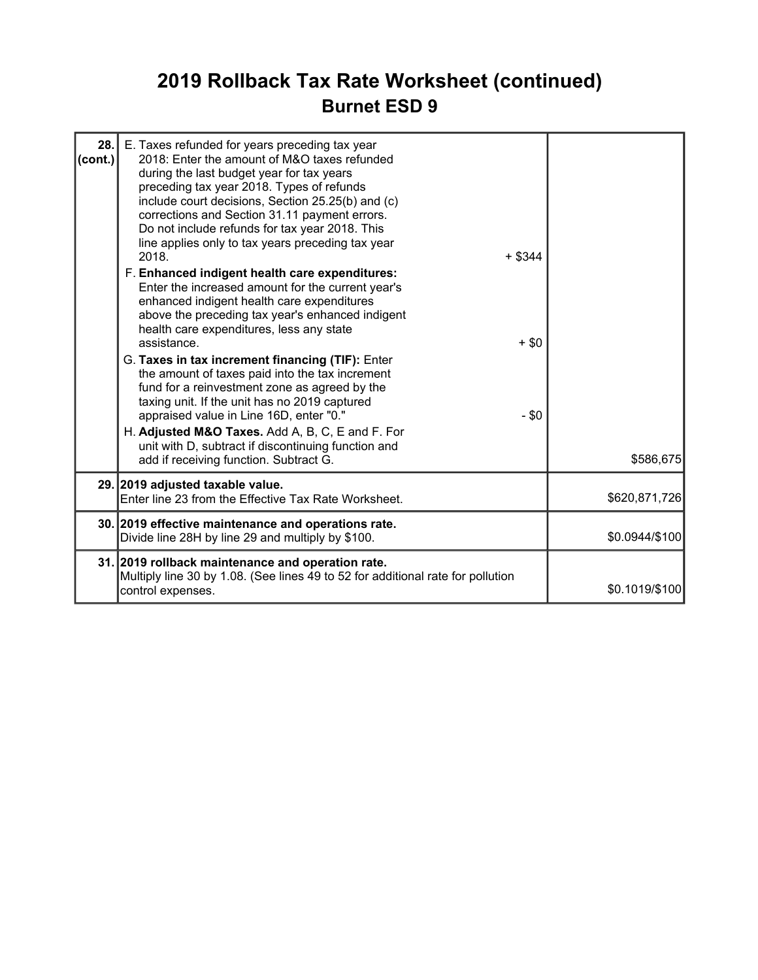## 2019 Rollback Tax Rate Worksheet (continued) Burnet ESD 9

| 28.1<br>$\text{(cont.)}$ | E. Taxes refunded for years preceding tax year<br>2018: Enter the amount of M&O taxes refunded<br>during the last budget year for tax years<br>preceding tax year 2018. Types of refunds<br>include court decisions, Section 25.25(b) and (c)<br>corrections and Section 31.11 payment errors.<br>Do not include refunds for tax year 2018. This<br>line applies only to tax years preceding tax year<br>$+$ \$344<br>2018.<br>F. Enhanced indigent health care expenditures:<br>Enter the increased amount for the current year's<br>enhanced indigent health care expenditures<br>above the preceding tax year's enhanced indigent<br>health care expenditures, less any state<br>assistance.<br>G. Taxes in tax increment financing (TIF): Enter<br>the amount of taxes paid into the tax increment<br>fund for a reinvestment zone as agreed by the<br>taxing unit. If the unit has no 2019 captured<br>appraised value in Line 16D, enter "0."<br>H. Adjusted M&O Taxes. Add A, B, C, E and F. For | $+$ \$0<br>$-$ \$0 |                |
|--------------------------|---------------------------------------------------------------------------------------------------------------------------------------------------------------------------------------------------------------------------------------------------------------------------------------------------------------------------------------------------------------------------------------------------------------------------------------------------------------------------------------------------------------------------------------------------------------------------------------------------------------------------------------------------------------------------------------------------------------------------------------------------------------------------------------------------------------------------------------------------------------------------------------------------------------------------------------------------------------------------------------------------------|--------------------|----------------|
|                          | unit with D, subtract if discontinuing function and<br>add if receiving function. Subtract G.                                                                                                                                                                                                                                                                                                                                                                                                                                                                                                                                                                                                                                                                                                                                                                                                                                                                                                           |                    | \$586,675      |
|                          | 29. 2019 adjusted taxable value.<br>Enter line 23 from the Effective Tax Rate Worksheet.                                                                                                                                                                                                                                                                                                                                                                                                                                                                                                                                                                                                                                                                                                                                                                                                                                                                                                                |                    | \$620,871,726  |
|                          | 30. 2019 effective maintenance and operations rate.<br>Divide line 28H by line 29 and multiply by \$100.                                                                                                                                                                                                                                                                                                                                                                                                                                                                                                                                                                                                                                                                                                                                                                                                                                                                                                |                    | \$0.0944/\$100 |
|                          | 31. 2019 rollback maintenance and operation rate.<br>Multiply line 30 by 1.08. (See lines 49 to 52 for additional rate for pollution<br>control expenses.                                                                                                                                                                                                                                                                                                                                                                                                                                                                                                                                                                                                                                                                                                                                                                                                                                               |                    | \$0.1019/\$100 |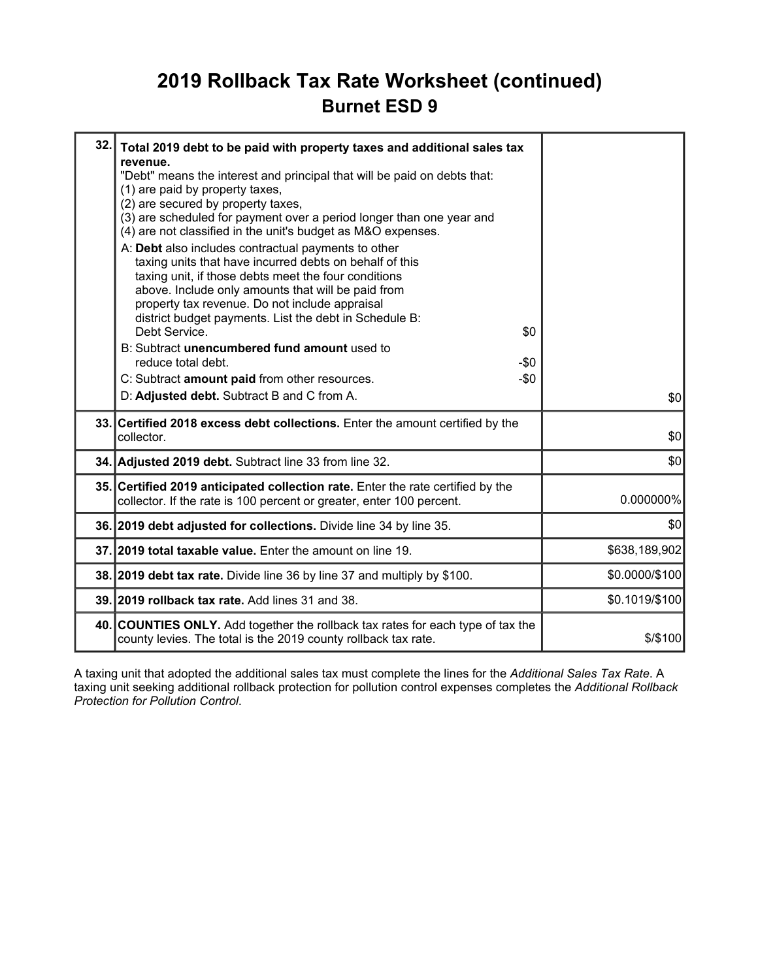### 2019 Rollback Tax Rate Worksheet (continued) Burnet ESD 9

| 32.1 | Total 2019 debt to be paid with property taxes and additional sales tax<br>revenue.<br>"Debt" means the interest and principal that will be paid on debts that:<br>(1) are paid by property taxes,<br>(2) are secured by property taxes,<br>(3) are scheduled for payment over a period longer than one year and<br>(4) are not classified in the unit's budget as M&O expenses.<br>A: Debt also includes contractual payments to other<br>taxing units that have incurred debts on behalf of this<br>taxing unit, if those debts meet the four conditions<br>above. Include only amounts that will be paid from<br>property tax revenue. Do not include appraisal<br>district budget payments. List the debt in Schedule B:<br>Debt Service.<br>\$0<br>B: Subtract unencumbered fund amount used to<br>reduce total debt.<br>-\$0<br>$-\$0$<br>C: Subtract amount paid from other resources.<br>D: Adjusted debt. Subtract B and C from A. | \$0            |
|------|---------------------------------------------------------------------------------------------------------------------------------------------------------------------------------------------------------------------------------------------------------------------------------------------------------------------------------------------------------------------------------------------------------------------------------------------------------------------------------------------------------------------------------------------------------------------------------------------------------------------------------------------------------------------------------------------------------------------------------------------------------------------------------------------------------------------------------------------------------------------------------------------------------------------------------------------|----------------|
|      | 33. Certified 2018 excess debt collections. Enter the amount certified by the<br>collector.                                                                                                                                                                                                                                                                                                                                                                                                                                                                                                                                                                                                                                                                                                                                                                                                                                                 | \$0            |
|      | 34. Adjusted 2019 debt. Subtract line 33 from line 32.                                                                                                                                                                                                                                                                                                                                                                                                                                                                                                                                                                                                                                                                                                                                                                                                                                                                                      | \$0            |
|      | 35. Certified 2019 anticipated collection rate. Enter the rate certified by the<br>collector. If the rate is 100 percent or greater, enter 100 percent.                                                                                                                                                                                                                                                                                                                                                                                                                                                                                                                                                                                                                                                                                                                                                                                     | $0.000000\%$   |
|      | 36. 2019 debt adjusted for collections. Divide line 34 by line 35.                                                                                                                                                                                                                                                                                                                                                                                                                                                                                                                                                                                                                                                                                                                                                                                                                                                                          | \$0            |
|      | 37.12019 total taxable value. Enter the amount on line 19.                                                                                                                                                                                                                                                                                                                                                                                                                                                                                                                                                                                                                                                                                                                                                                                                                                                                                  | \$638,189,902  |
|      | 38. 2019 debt tax rate. Divide line 36 by line 37 and multiply by \$100.                                                                                                                                                                                                                                                                                                                                                                                                                                                                                                                                                                                                                                                                                                                                                                                                                                                                    | \$0.0000/\$100 |
|      | 39. 2019 rollback tax rate. Add lines 31 and 38.                                                                                                                                                                                                                                                                                                                                                                                                                                                                                                                                                                                                                                                                                                                                                                                                                                                                                            | \$0.1019/\$100 |
|      | 40. COUNTIES ONLY. Add together the rollback tax rates for each type of tax the<br>county levies. The total is the 2019 county rollback tax rate.                                                                                                                                                                                                                                                                                                                                                                                                                                                                                                                                                                                                                                                                                                                                                                                           | $$$ /\$100     |

A taxing unit that adopted the additional sales tax must complete the lines for the Additional Sales Tax Rate. A taxing unit seeking additional rollback protection for pollution control expenses completes the Additional Rollback Protection for Pollution Control.